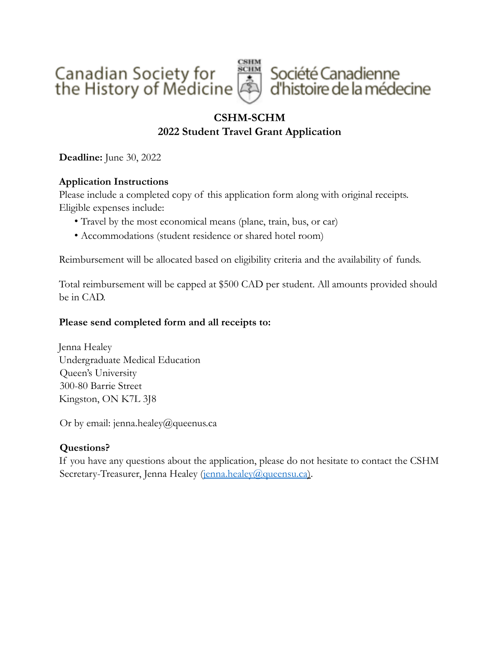

# **CSHM-SCHM**

# **2022 Student Travel Grant Application**

**Deadline:** June 30, 2022

# **Application Instructions**

Please include a completed copy of this application form along with original receipts. Eligible expenses include:

- Travel by the most economical means (plane, train, bus, or car)
- Accommodations (student residence or shared hotel room)

Reimbursement will be allocated based on eligibility criteria and the availability of funds.

Total reimbursement will be capped at \$500 CAD per student. All amounts provided should be in CAD.

# **Please send completed form and all receipts to:**

Jenna Healey Undergraduate Medical Education Queen's University 300-80 Barrie Street Kingston, ON K7L 3J8

Or by email: jenna.healey@queenus.ca

# **Questions?**

If you have any questions about the application, please do not hesitate to contact the CSHM Secretary-Treasurer, Jenna Healey (jenna.healey@queensu.ca).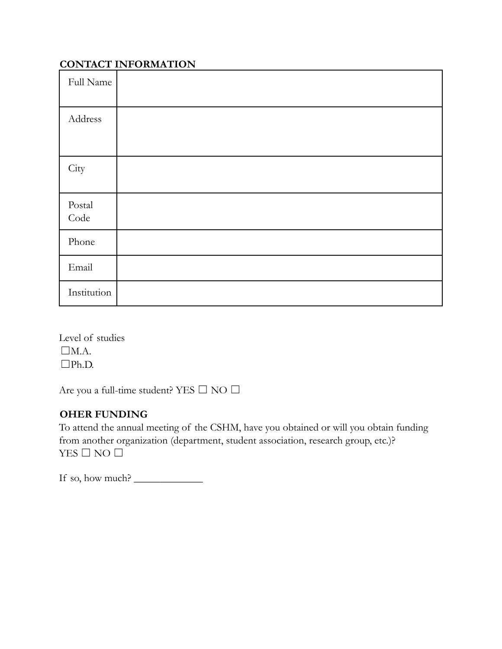# **CONTACT INFORMATION**

| Full Name                       |  |
|---------------------------------|--|
| Address                         |  |
| City                            |  |
| $\operatorname{Postal}$<br>Code |  |
| Phone                           |  |
| Email                           |  |
| Institution                     |  |

Level of studies  $\Box$ M.A. ☐Ph.D.

Are you a full-time student? YES  $\Box$  NO  $\Box$ 

# **OHER FUNDING**

To attend the annual meeting of the CSHM, have you obtained or will you obtain funding from another organization (department, student association, research group, etc.)? YES  $\square$  NO  $\square$ 

If so, how much?  $\frac{1}{\sqrt{1-\frac{1}{2}}}\frac{1}{\sqrt{1-\frac{1}{2}}}\frac{1}{\sqrt{1-\frac{1}{2}}}\frac{1}{\sqrt{1-\frac{1}{2}}}\frac{1}{\sqrt{1-\frac{1}{2}}}\frac{1}{\sqrt{1-\frac{1}{2}}}\frac{1}{\sqrt{1-\frac{1}{2}}}\frac{1}{\sqrt{1-\frac{1}{2}}}\frac{1}{\sqrt{1-\frac{1}{2}}}\frac{1}{\sqrt{1-\frac{1}{2}}}\frac{1}{\sqrt{1-\frac{1}{2}}}\frac{1}{\sqrt{1-\frac{1}{2}}}\frac{1}{\sqrt{1-\frac$